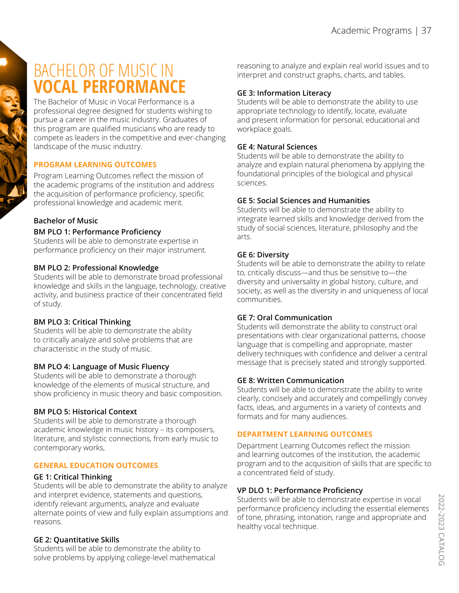# BACHELOR OF MUSIC IN **VOCAL PERFORMANCE**

The Bachelor of Music in Vocal Performance is a professional degree designed for students wishing to pursue a career in the music industry. Graduates of this program are qualified musicians who are ready to compete as leaders in the competitive and ever-changing landscape of the music industry.

# **PROGRAM LEARNING OUTCOMES**

Program Learning Outcomes reflect the mission of the academic programs of the institution and address the acquisition of performance proficiency, specific professional knowledge and academic merit.

# **Bachelor of Music**

#### **BM PLO 1: Performance Proficiency**

Students will be able to demonstrate expertise in performance proficiency on their major instrument.

#### **BM PLO 2: Professional Knowledge**

Students will be able to demonstrate broad professional knowledge and skills in the language, technology, creative activity, and business practice of their concentrated field of study.

# **BM PLO 3: Critical Thinking**

Students will be able to demonstrate the ability to critically analyze and solve problems that are characteristic in the study of music.

#### **BM PLO 4: Language of Music Fluency**

Students will be able to demonstrate a thorough knowledge of the elements of musical structure, and show proficiency in music theory and basic composition.

# **BM PLO 5: Historical Context**

Students will be able to demonstrate a thorough academic knowledge in music history – its composers, literature, and stylistic connections, from early music to contemporary works,

#### **GENERAL EDUCATION OUTCOMES**

#### **GE 1: Critical Thinking**

Students will be able to demonstrate the ability to analyze and interpret evidence, statements and questions, identify relevant arguments, analyze and evaluate alternate points of view and fully explain assumptions and reasons.

#### **GE 2: Quantitative Skills**

Students will be able to demonstrate the ability to solve problems by applying college-level mathematical reasoning to analyze and explain real world issues and to interpret and construct graphs, charts, and tables.

### **GE 3: Information Literacy**

Students will be able to demonstrate the ability to use appropriate technology to identify, locate, evaluate and present information for personal, educational and workplace goals.

#### **GE 4: Natural Sciences**

Students will be able to demonstrate the ability to analyze and explain natural phenomena by applying the foundational principles of the biological and physical sciences.

#### **GE 5: Social Sciences and Humanities**

Students will be able to demonstrate the ability to integrate learned skills and knowledge derived from the study of social sciences, literature, philosophy and the arts.

#### **GE 6: Diversity**

Students will be able to demonstrate the ability to relate to, critically discuss—and thus be sensitive to—the diversity and universality in global history, culture, and society, as well as the diversity in and uniqueness of local communities.

#### **GE 7: Oral Communication**

Students will demonstrate the ability to construct oral presentations with clear organizational patterns, choose language that is compelling and appropriate, master delivery techniques with confidence and deliver a central message that is precisely stated and strongly supported.

#### **GE 8: Written Communication**

Students will be able to demonstrate the ability to write clearly, concisely and accurately and compellingly convey facts, ideas, and arguments in a variety of contexts and formats and for many audiences.

#### **DEPARTMENT LEARNING OUTCOMES**

Department Learning Outcomes reflect the mission and learning outcomes of the institution, the academic program and to the acquisition of skills that are specific to a concentrated field of study.

#### **VP DLO 1: Performance Proficiency**

Students will be able to demonstrate expertise in vocal performance proficiency including the essential elements of tone, phrasing, intonation, range and appropriate and healthy vocal technique.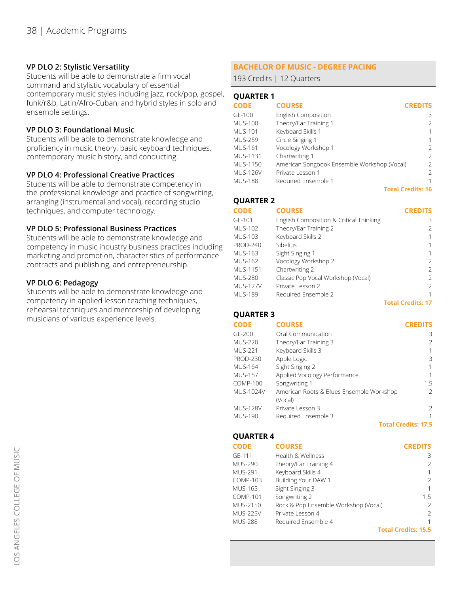#### **VP DLO 2: Stylistic Versatility**

Students will be able to demonstrate a firm vocal command and stylistic vocabulary of essential contemporary music styles including jazz, rock/pop, gospel, funk/r&b, Latin/Afro-Cuban, and hybrid styles in solo and ensemble settings.

# **VP DLO 3: Foundational Music**

Students will be able to demonstrate knowledge and proficiency in music theory, basic keyboard techniques, contemporary music history, and conducting.

### **VP DLO 4: Professional Creative Practices**

Students will be able to demonstrate competency in the professional knowledge and practice of songwriting, arranging (instrumental and vocal), recording studio techniques, and computer technology.

### **VP DLO 5: Professional Business Practices**

Students will be able to demonstrate knowledge and competency in music industry business practices including marketing and promotion, characteristics of performance contracts and publishing, and entrepreneurship.

### **VP DLO 6: Pedagogy**

Students will be able to demonstrate knowledge and competency in applied lesson teaching techniques, rehearsal techniques and mentorship of developing musicians of various experience levels.

# **BACHELOR OF MUSIC - DEGREE PACING**

193 Credits | 12 Quarters

### **QUARTER 1**

| <b>CODE</b>     | <b>COURSE</b>                               | <b>CREDITS</b>           |
|-----------------|---------------------------------------------|--------------------------|
| GE-100          | <b>English Composition</b>                  | 3                        |
| <b>MUS-100</b>  | Theory/Ear Training 1                       | 2                        |
| <b>MUS-101</b>  | Keyboard Skills 1                           |                          |
| <b>MUS-259</b>  | Circle Singing 1                            |                          |
| <b>MUS-161</b>  | Vocology Workshop 1                         | $\mathcal{P}$            |
| <b>MUS-1131</b> | Chartwriting 1                              | $\mathcal{P}$            |
| MUS-1150        | American Songbook Ensemble Workshop (Vocal) | 2                        |
| <b>MUS-126V</b> | Private Lesson 1                            | $\mathcal{P}$            |
| <b>MUS-188</b>  | Required Ensemble 1                         |                          |
|                 |                                             | <b>Total Credits: 16</b> |

#### **QUARTER 2**

#### **CODE** GE-101 MUS-102 MUS-103 PROD-240 MUS-163 MUS-162 MUS-1151 MUS-280 MUS-127V MUS-189 **CREDITS COURSE** English Composition & Critical Thinking Theory/Ear Training 2 Keyboard Skills 2 Sibelius Sight Singing 1 Vocology Workshop 2 Chartwriting 2 Classic Pop Vocal Workshop (Vocal) Private Lesson 2 Required Ensemble 2

# **QUARTER 3**

**COURSE**

**CODE**

**CREDITS**

**Total Credits: 17**

| GE-200          | Oral Communication                       | 3                          |
|-----------------|------------------------------------------|----------------------------|
| <b>MUS-220</b>  | Theory/Ear Training 3                    |                            |
| <b>MUS-221</b>  | Keyboard Skills 3                        |                            |
| <b>PROD-230</b> | Apple Logic                              | 3                          |
| MUS-164         | Sight Singing 2                          |                            |
| <b>MUS-157</b>  | Applied Vocology Performance             |                            |
| <b>COMP-100</b> | Songwriting 1                            | 1.5                        |
| MUS-1024V       | American Roots & Blues Ensemble Workshop |                            |
|                 | (Vocal)                                  |                            |
| <b>MUS-128V</b> | Private Lesson 3                         | 2                          |
| MUS-190         | Required Ensemble 3                      |                            |
|                 |                                          | <b>Total Credits: 17.5</b> |

# **QUARTER 4**

| <b>CODE</b>     | <b>COURSE</b>                        | <b>CREDITS</b>             |
|-----------------|--------------------------------------|----------------------------|
| GE-111          | Health & Wellness                    | 3                          |
| MUS-290         | Theory/Ear Training 4                | $\mathcal{L}$              |
| <b>MUS-291</b>  | Keyboard Skills 4                    | 1                          |
| COMP-103        | Building Your DAW 1                  | $\mathcal{L}$              |
| MUS-165         | Sight Singing 3                      | 1                          |
| <b>COMP-101</b> | Songwriting 2                        | 1.5                        |
| MUS-2150        | Rock & Pop Ensemble Workshop (Vocal) | $\mathcal{L}$              |
| <b>MUS-225V</b> | Private Lesson 4                     | $\mathcal{P}$              |
| MUS-288         | Required Ensemble 4                  | 1                          |
|                 |                                      | <b>Total Credits: 15.5</b> |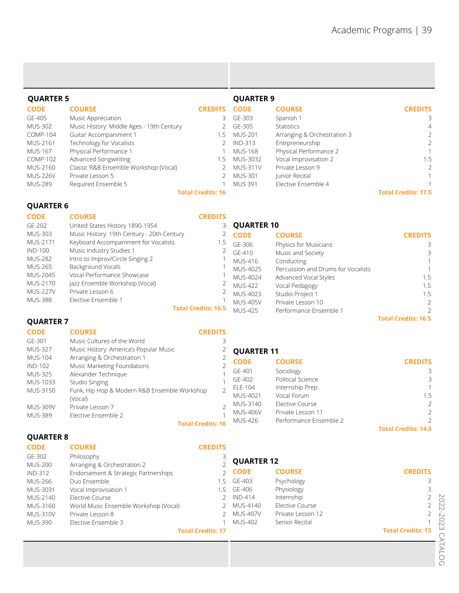| <b>QUARTER 5</b> |                                           | <b>QUARTER 9</b>         |                 |                             |                            |
|------------------|-------------------------------------------|--------------------------|-----------------|-----------------------------|----------------------------|
| <b>CODE</b>      | <b>COURSE</b>                             | <b>CREDITS</b>           | <b>CODE</b>     | <b>COURSE</b>               | <b>CREDITS</b>             |
| GE-405           | Music Appreciation                        | 3.                       | GE-303          | Spanish 1                   | 3                          |
| <b>MUS-302</b>   | Music History: Middle Ages - 19th Century |                          | GE-305          | <b>Statistics</b>           | 4                          |
| COMP-104         | Guitar Accompaniment 1                    | 1.5                      | MUS-201         | Arranging & Orchestration 3 | 2                          |
| MUS-2161         | Technology for Vocalists                  |                          | <b>IND-313</b>  | Entrpreneurship             | $\overline{2}$             |
| <b>MUS-167</b>   | Physical Performance 1                    |                          | <b>MUS-168</b>  | Physical Performance 2      |                            |
| COMP-102         | Advanced Songwiriting                     | 1.5                      | MUS-3032        | Vocal Improvisation 2       | 1.5                        |
| MUS-2160         | Classic R&B Ensemble Workshop (Vocal)     |                          | <b>MUS-311V</b> | Private Lesson 9            | 2                          |
| <b>MUS-226V</b>  | Private Lesson 5                          |                          | <b>MUS-301</b>  | Junior Recital              | 1.                         |
| <b>MUS-289</b>   | Required Ensemble 5                       |                          | <b>MUS 391</b>  | Elective Ensemble 4         |                            |
|                  |                                           | <b>Total Credits: 16</b> |                 |                             | <b>Total Credits: 17.5</b> |

# **QUARTER 6**

| <b>CODE</b>     | <b>COURSE</b>                              | <b>CREDITS</b>             |                     |                                    |                |
|-----------------|--------------------------------------------|----------------------------|---------------------|------------------------------------|----------------|
| GE-202          | United States History 1890-1954            |                            | <b>3 QUARTER 10</b> |                                    |                |
| <b>MUS-303</b>  | Music History: 19th Century - 20th Century | $\angle$                   | <b>CODE</b>         | <b>COURSE</b>                      | <b>CREDITS</b> |
| MUS-2171        | Keyboard Accompaniment for Vocalists       | 5. ا                       | GF-306              | Physics for Musicians              | 3              |
| <b>IND-100</b>  | Music Industry Studies 1                   | ∠                          | $GF-410$            | Music and Society                  | 3              |
| <b>MUS-282</b>  | Intro to Improv/Circle Singing 2           |                            | <b>MUS-416</b>      | Conducting                         |                |
| <b>MUS-265</b>  | Background Vocals                          |                            | MUS-4025            | Percussion and Drums for Vocalists |                |
| <b>MUS-2045</b> | Vocal Performance Showcase                 |                            | MUS-4024            | Advanced Vocal Styles              | 1.5            |
| <b>MUS-2170</b> | Jazz Ensemble Workshop (Vocal)             |                            | <b>MUS-422</b>      | Vocal Pedagogy                     | 1.5            |
| <b>MUS-227V</b> | Private Lesson 6                           | ∠                          | MUS-4023            |                                    | 1.5            |
| <b>MUS-388</b>  | Elective Ensemble 1                        |                            | MUS-405V            | Private Lesson 10                  | $\mathcal{P}$  |
|                 |                                            | <b>Total Credits: 16.5</b> | <b>MUS-425</b>      | Performance Ensemble 1             |                |
|                 |                                            |                            |                     | Studio Project 1                   |                |

# **QUARTER 7**

**COURSE**

**CODE**

#### **CREDITS**

| GE-301          | Music Cultures of the World                  |           |                   |                        |                            |
|-----------------|----------------------------------------------|-----------|-------------------|------------------------|----------------------------|
| <b>MUS-327</b>  | Music History: America's Popular Music       | ∠         | <b>QUARTER 11</b> |                        |                            |
| MUS-104         | Arranging & Orchestration 1                  |           | <b>CODE</b>       | <b>COURSE</b>          | <b>CREDITS</b>             |
| IND-102         | Music Marketing Foundations                  |           |                   |                        |                            |
| <b>MUS-325</b>  | Alexander Technique                          |           | GE-401            | Sociology              | 3                          |
| MUS-1033        | Studio Singing                               |           | GE-402            | Political Science      | 3                          |
| <b>MUS-3150</b> | Funk, Hip Hop & Modern R&B Ensemble Workshop |           | ELE-104           | Internship Prep        | 1                          |
|                 |                                              |           | MUS-4021          | Vocal Forum            | 1.5                        |
|                 | (Vocal)                                      | $\bigcap$ | MUS-3140          | Elective Course        | $\mathcal{L}$              |
| <b>MUS-309V</b> | Private Lesson 7                             |           | <b>MUS-406V</b>   | Private Lesson 11      | $\mathcal{P}$              |
| <b>MUS-389</b>  | Elective Ensemble 2                          |           |                   |                        |                            |
|                 | <b>Total Credits: 16</b>                     |           | <b>MUS-426</b>    | Performance Ensemble 2 | $\mathcal{L}$              |
|                 |                                              |           |                   |                        | <b>Total Credits: 14.5</b> |

# **QUARTER 8**

| <b>CODE</b>     | <b>COURSE</b>                         | <b>CREDITS</b>           |                   |                   |                          |
|-----------------|---------------------------------------|--------------------------|-------------------|-------------------|--------------------------|
| GE-302          | Philosophy                            |                          |                   |                   |                          |
| <b>MUS-200</b>  | Arranging & Orchestration 2           |                          | <b>QUARTER 12</b> |                   |                          |
| IND-312         | Endorsement & Strategic Partnerships  |                          | $2$ CODE          | <b>COURSE</b>     | <b>CREDITS</b>           |
| <b>MUS-266</b>  | Duo Ensemble                          | -5                       | GE-403            | Psychology        |                          |
| MUS-3031        | Vocal Improvisation 1                 |                          | 5 GE-406          | Physiology        | 3                        |
| MUS-2140        | Elective Course                       |                          | IND-414           | Internship        |                          |
| MUS-3160        | World Music Ensemble Workshop (Vocal) |                          | MUS-4140          | Elective Course   |                          |
| <b>MUS-310V</b> | Private Lesson 8                      |                          | <b>MUS-407V</b>   | Private Lesson 12 |                          |
| <b>MUS-390</b>  | Elective Ensemble 3                   |                          | <b>MUS-402</b>    | Senior Recital    |                          |
|                 |                                       | <b>Total Credits: 17</b> |                   |                   | <b>Total Credits: 13</b> |

**Total Credits: 16.5**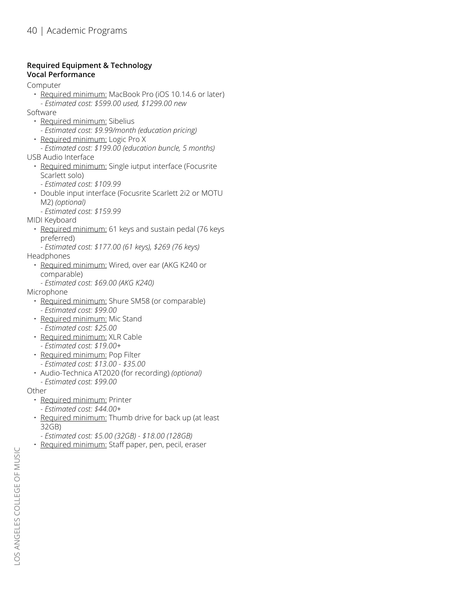### **Required Equipment & Technology Vocal Performance**

Computer

- Required minimum: MacBook Pro (iOS 10.14.6 or later)
	- *Estimated cost: \$599.00 used, \$1299.00 new*
- Software
	- Required minimum: Sibelius
		- *Estimated cost: \$9.99/month (education pricing)*
	- Required minimum: Logic Pro X
- *Estimated cost: \$199.00 (education buncle, 5 months)* USB Audio Interface
	- Required minimum: Single iutput interface (Focusrite Scarlett solo)
		- *Estimated cost: \$109.99*
	- Double input interface (Focusrite Scarlett 2i2 or MOTU M2) *(optional)*
	- *Estimated cost: \$159.99*

MIDI Keyboard

- Required minimum: 61 keys and sustain pedal (76 keys preferred)
- *Estimated cost: \$177.00 (61 keys), \$269 (76 keys)* Headphones
	- Required minimum: Wired, over ear (AKG K240 or comparable)
		- *Estimated cost: \$69.00 (AKG K240)*

Microphone

- Required minimum: Shure SM58 (or comparable) *- Estimated cost: \$99.00*
- Required minimum: Mic Stand *- Estimated cost: \$25.00*
- Required minimum: XLR Cable *- Estimated cost: \$19.00+*
- Required minimum: Pop Filter
	- *Estimated cost: \$13.00 \$35.00*
- Audio-Technica AT2020 (for recording) *(optional) - Estimated cost: \$99.00*

Other

- Required minimum: Printer *- Estimated cost: \$44.00+*
- 
- Required minimum: Thumb drive for back up (at least 32GB)
	- *Estimated cost: \$5.00 (32GB) \$18.00 (128GB)*
- Required minimum: Staff paper, pen, pecil, eraser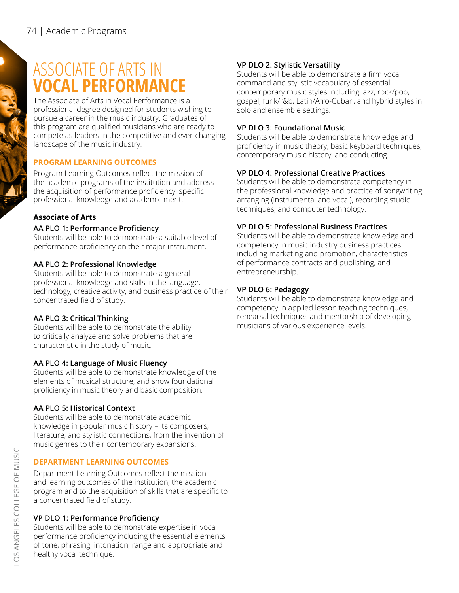# ASSOCIATE OF ARTS IN **VOCAL PERFORMANCE**

The Associate of Arts in Vocal Performance is a professional degree designed for students wishing to pursue a career in the music industry. Graduates of this program are qualified musicians who are ready to compete as leaders in the competitive and ever-changing landscape of the music industry.

# **PROGRAM LEARNING OUTCOMES**

Program Learning Outcomes reflect the mission of the academic programs of the institution and address the acquisition of performance proficiency, specific professional knowledge and academic merit.

# **Associate of Arts**

# **AA PLO 1: Performance Proficiency**

Students will be able to demonstrate a suitable level of performance proficiency on their major instrument.

# **AA PLO 2: Professional Knowledge**

Students will be able to demonstrate a general professional knowledge and skills in the language, technology, creative activity, and business practice of their concentrated field of study.

# **AA PLO 3: Critical Thinking**

Students will be able to demonstrate the ability to critically analyze and solve problems that are characteristic in the study of music.

# **AA PLO 4: Language of Music Fluency**

Students will be able to demonstrate knowledge of the elements of musical structure, and show foundational proficiency in music theory and basic composition.

# **AA PLO 5: Historical Context**

Students will be able to demonstrate academic knowledge in popular music history – its composers, literature, and stylistic connections, from the invention of music genres to their contemporary expansions.

# **DEPARTMENT LEARNING OUTCOMES**

Department Learning Outcomes reflect the mission and learning outcomes of the institution, the academic program and to the acquisition of skills that are specific to a concentrated field of study.

# **VP DLO 1: Performance Proficiency**

Students will be able to demonstrate expertise in vocal performance proficiency including the essential elements of tone, phrasing, intonation, range and appropriate and healthy vocal technique.

# **VP DLO 2: Stylistic Versatility**

Students will be able to demonstrate a firm vocal command and stylistic vocabulary of essential contemporary music styles including jazz, rock/pop, gospel, funk/r&b, Latin/Afro-Cuban, and hybrid styles in solo and ensemble settings.

# **VP DLO 3: Foundational Music**

Students will be able to demonstrate knowledge and proficiency in music theory, basic keyboard techniques, contemporary music history, and conducting.

# **VP DLO 4: Professional Creative Practices**

Students will be able to demonstrate competency in the professional knowledge and practice of songwriting, arranging (instrumental and vocal), recording studio techniques, and computer technology.

# **VP DLO 5: Professional Business Practices**

Students will be able to demonstrate knowledge and competency in music industry business practices including marketing and promotion, characteristics of performance contracts and publishing, and entrepreneurship.

# **VP DLO 6: Pedagogy**

Students will be able to demonstrate knowledge and competency in applied lesson teaching techniques, rehearsal techniques and mentorship of developing musicians of various experience levels.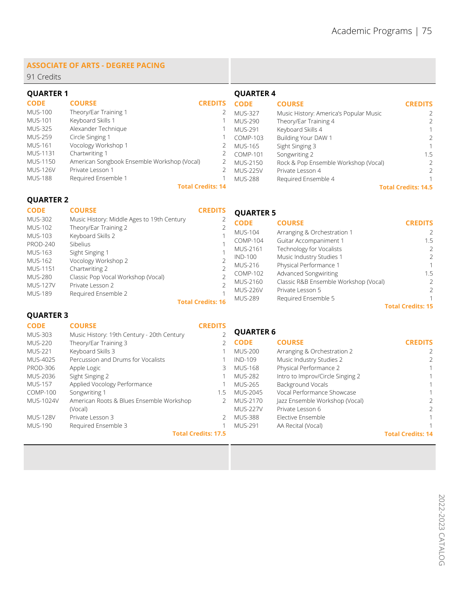#### **ASSOCIATE OF ARTS - DEGREE PACING**

91 Credits

| <b>QUARTER 1</b> |                                             |                          | <b>QUARTER 4</b> |                                        |                            |
|------------------|---------------------------------------------|--------------------------|------------------|----------------------------------------|----------------------------|
| <b>CODE</b>      | <b>COURSE</b>                               | <b>CREDITS</b>           | <b>CODE</b>      | <b>COURSE</b>                          | <b>CREDITS</b>             |
| <b>MUS-100</b>   | Theory/Ear Training 1                       | $\angle$                 | <b>MUS-327</b>   | Music History: America's Popular Music |                            |
| <b>MUS-101</b>   | Keyboard Skills 1                           |                          | MUS-290          | Theory/Ear Training 4                  | $\mathcal{P}$              |
| <b>MUS-325</b>   | Alexander Technique                         |                          | <b>MUS-291</b>   | Keyboard Skills 4                      |                            |
| <b>MUS-259</b>   | Circle Singing 1                            |                          | COMP-103         | Building Your DAW 1                    |                            |
| <b>MUS-161</b>   | Vocology Workshop 1                         |                          | MUS-165          | Sight Singing 3                        |                            |
| MUS-1131         | Chartwriting 1                              |                          | <b>COMP-101</b>  | Songwriting 2                          | 1.5                        |
| MUS-1150         | American Songbook Ensemble Workshop (Vocal) |                          | MUS-2150         | Rock & Pop Ensemble Workshop (Vocal)   |                            |
| <b>MUS-126V</b>  | Private Lesson 1                            |                          | <b>MUS-225V</b>  | Private Lesson 4                       | 2                          |
| <b>MUS-188</b>   | Required Ensemble 1                         |                          | MUS-288          | Required Ensemble 4                    |                            |
|                  |                                             | <b>Total Credits: 14</b> |                  |                                        | <b>Total Credits: 14.5</b> |

# **QUARTER 2**

| <b>CODE</b>                      | <b>COURSE</b>                                                       | <b>CREDITS</b>           | <b>QUARTER 5</b> |                                       |                          |
|----------------------------------|---------------------------------------------------------------------|--------------------------|------------------|---------------------------------------|--------------------------|
| <b>MUS-302</b><br><b>MUS-102</b> | Music History: Middle Ages to 19th Century<br>Theory/Ear Training 2 |                          | <b>CODE</b>      | <b>COURSE</b>                         | <b>CREDITS</b>           |
| MUS-103                          | Keyboard Skills 2                                                   |                          | <b>MUS-104</b>   | Arranging & Orchestration 1           |                          |
| <b>PROD-240</b>                  | <b>Sibelius</b>                                                     |                          | COMP-104         | Guitar Accompaniment 1                | 1.5                      |
| MUS-163                          | Sight Singing 1                                                     |                          | MUS-2161         | Technology for Vocalists              | 2                        |
| MUS-162                          | Vocology Workshop 2                                                 |                          | <b>IND-100</b>   | Music Industry Studies 1              | 2                        |
|                                  |                                                                     |                          | MUS-216          | Physical Performance 1                |                          |
| MUS-1151<br><b>MUS-280</b>       | Chartwriting 2<br>Classic Pop Vocal Workshop (Vocal)                |                          | COMP-102         | Advanced Songwiriting                 | 1.5                      |
| <b>MUS-127V</b>                  | Private Lesson 2                                                    |                          | MUS-2160         | Classic R&B Ensemble Workshop (Vocal) | $\mathcal{P}$            |
|                                  |                                                                     |                          | <b>MUS-226V</b>  | Private Lesson 5                      | $\mathcal{P}$            |
| <b>MUS-189</b>                   | Required Ensemble 2                                                 | <b>Total Credits: 16</b> | <b>MUS-289</b>   | Required Ensemble 5                   |                          |
|                                  |                                                                     |                          |                  |                                       | <b>Total Credits: 15</b> |

**QUARTER 3**

| <b>CODE</b><br><b>MUS-303</b> | <b>COURSE</b><br>Music History: 19th Century - 20th Century | <b>CREDITS</b>             | <b>QUARTER 6</b> |                                  |                          |
|-------------------------------|-------------------------------------------------------------|----------------------------|------------------|----------------------------------|--------------------------|
| <b>MUS-220</b>                | Theory/Ear Training 3                                       |                            | <b>CODE</b>      | <b>COURSE</b>                    | <b>CREDITS</b>           |
| <b>MUS-221</b>                | Keyboard Skills 3                                           |                            | <b>MUS-200</b>   | Arranging & Orchestration 2      |                          |
| MUS-4025                      | Percussion and Drums for Vocalists                          |                            | <b>IND-109</b>   | Music Industry Studies 2         | 2                        |
| <b>PROD-306</b>               | Apple Logic                                                 | 3                          | <b>MUS-168</b>   | Physical Performance 2           |                          |
| MUS-2036                      | Sight Singing 2                                             |                            | <b>MUS-282</b>   | Intro to Improv/Circle Singing 2 |                          |
| <b>MUS-157</b>                | Applied Vocology Performance                                |                            | <b>MUS-265</b>   | Background Vocals                |                          |
| <b>COMP-100</b>               | Songwriting 1                                               | 1.5                        | MUS-2045         | Vocal Performance Showcase       |                          |
| MUS-1024V                     | American Roots & Blues Ensemble Workshop                    |                            | MUS-2170         | Jazz Ensemble Workshop (Vocal)   | $\mathcal{P}$            |
|                               | (Vocal)                                                     |                            | <b>MUS-227V</b>  | Private Lesson 6                 | 2                        |
| <b>MUS-128V</b>               | Private Lesson 3                                            |                            | MUS-388          | Elective Ensemble                | 1                        |
| <b>MUS-190</b>                | Required Ensemble 3                                         |                            | MUS-291          | AA Recital (Vocal)               |                          |
|                               |                                                             | <b>Total Credits: 17.5</b> |                  |                                  | <b>Total Credits: 14</b> |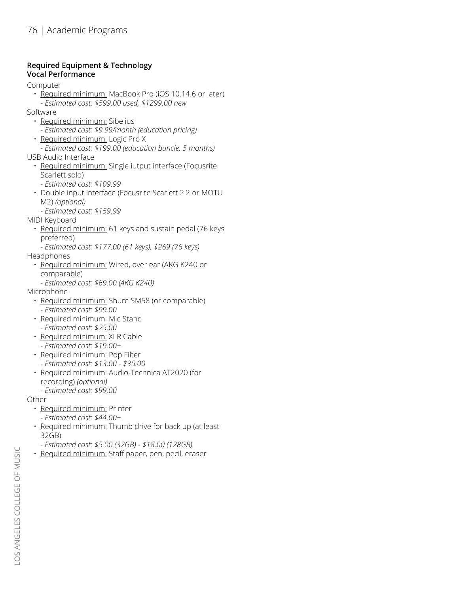# **Required Equipment & Technology Vocal Performance**

Computer

- Required minimum: MacBook Pro (iOS 10.14.6 or later)
- *Estimated cost: \$599.00 used, \$1299.00 new*
- Software
	- Required minimum: Sibelius
		- *Estimated cost: \$9.99/month (education pricing)*
	- Required minimum: Logic Pro X
- *Estimated cost: \$199.00 (education buncle, 5 months)* USB Audio Interface
	- Required minimum: Single iutput interface (Focusrite Scarlett solo)
		- *Estimated cost: \$109.99*
	- Double input interface (Focusrite Scarlett 2i2 or MOTU M2) *(optional)*
		- *Estimated cost: \$159.99*
- MIDI Keyboard
	- Required minimum: 61 keys and sustain pedal (76 keys preferred)
	- *Estimated cost: \$177.00 (61 keys), \$269 (76 keys)*
- Headphones
	- Required minimum: Wired, over ear (AKG K240 or comparable)
		- *Estimated cost: \$69.00 (AKG K240)*

Microphone

- Required minimum: Shure SM58 (or comparable) *- Estimated cost: \$99.00*
- Required minimum: Mic Stand *- Estimated cost: \$25.00*
- Required minimum: XLR Cable *- Estimated cost: \$19.00+*
- Required minimum: Pop Filter
	- *Estimated cost: \$13.00 \$35.00*
- Required minimum: Audio-Technica AT2020 (for recording) *(optional)*
	- *Estimated cost: \$99.00*

Other

- Required minimum: Printer
	- *Estimated cost: \$44.00+*
- Required minimum: Thumb drive for back up (at least 32GB)
	- *Estimated cost: \$5.00 (32GB) \$18.00 (128GB)*
- Required minimum: Staff paper, pen, pecil, eraser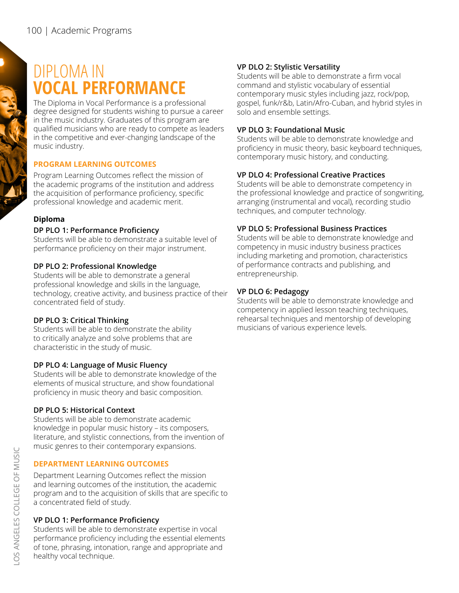# DIPLOMA IN **VOCAL PERFORMANCE**

The Diploma in Vocal Performance is a professional degree designed for students wishing to pursue a career in the music industry. Graduates of this program are qualified musicians who are ready to compete as leaders in the competitive and ever-changing landscape of the music industry.

### **PROGRAM LEARNING OUTCOMES**

Program Learning Outcomes reflect the mission of the academic programs of the institution and address the acquisition of performance proficiency, specific professional knowledge and academic merit.

### **Diploma**

### **DP PLO 1: Performance Proficiency**

Students will be able to demonstrate a suitable level of performance proficiency on their major instrument.

### **DP PLO 2: Professional Knowledge**

Students will be able to demonstrate a general professional knowledge and skills in the language, technology, creative activity, and business practice of their concentrated field of study.

#### **DP PLO 3: Critical Thinking**

Students will be able to demonstrate the ability to critically analyze and solve problems that are characteristic in the study of music.

#### **DP PLO 4: Language of Music Fluency**

Students will be able to demonstrate knowledge of the elements of musical structure, and show foundational proficiency in music theory and basic composition.

# **DP PLO 5: Historical Context**

Students will be able to demonstrate academic knowledge in popular music history – its composers, literature, and stylistic connections, from the invention of music genres to their contemporary expansions.

# **DEPARTMENT LEARNING OUTCOMES**

Department Learning Outcomes reflect the mission and learning outcomes of the institution, the academic program and to the acquisition of skills that are specific to a concentrated field of study.

# **VP DLO 1: Performance Proficiency**

Students will be able to demonstrate expertise in vocal performance proficiency including the essential elements of tone, phrasing, intonation, range and appropriate and healthy vocal technique.

### **VP DLO 2: Stylistic Versatility**

Students will be able to demonstrate a firm vocal command and stylistic vocabulary of essential contemporary music styles including jazz, rock/pop, gospel, funk/r&b, Latin/Afro-Cuban, and hybrid styles in solo and ensemble settings.

# **VP DLO 3: Foundational Music**

Students will be able to demonstrate knowledge and proficiency in music theory, basic keyboard techniques, contemporary music history, and conducting.

# **VP DLO 4: Professional Creative Practices**

Students will be able to demonstrate competency in the professional knowledge and practice of songwriting, arranging (instrumental and vocal), recording studio techniques, and computer technology.

# **VP DLO 5: Professional Business Practices**

Students will be able to demonstrate knowledge and competency in music industry business practices including marketing and promotion, characteristics of performance contracts and publishing, and entrepreneurship.

### **VP DLO 6: Pedagogy**

Students will be able to demonstrate knowledge and competency in applied lesson teaching techniques, rehearsal techniques and mentorship of developing musicians of various experience levels.